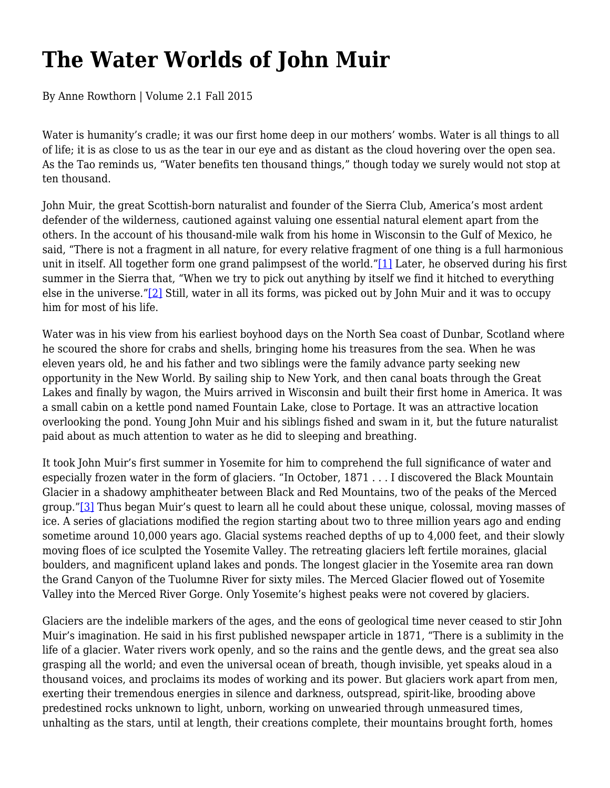## **The Water Worlds of John Muir**

By Anne Rowthorn | Volume 2.1 Fall 2015

Water is humanity's cradle; it was our first home deep in our mothers' wombs. Water is all things to all of life; it is as close to us as the tear in our eye and as distant as the cloud hovering over the open sea. As the Tao reminds us, "Water benefits ten thousand things," though today we surely would not stop at ten thousand.

John Muir, the great Scottish-born naturalist and founder of the Sierra Club, America's most ardent defender of the wilderness, cautioned against valuing one essential natural element apart from the others. In the account of his thousand-mile walk from his home in Wisconsin to the Gulf of Mexico, he said, "There is not a fragment in all nature, for every relative fragment of one thing is a full harmonious unit in itself. All together form one grand palimpsest of the world."[1] Later, he observed during his first summer in the Sierra that, "When we try to pick out anything by itself we find it hitched to everything else in the universe."[2] Still, water in all its forms, was picked out by John Muir and it was to occupy him for most of his life.

Water was in his view from his earliest boyhood days on the North Sea coast of Dunbar, Scotland where he scoured the shore for crabs and shells, bringing home his treasures from the sea. When he was eleven years old, he and his father and two siblings were the family advance party seeking new opportunity in the New World. By sailing ship to New York, and then canal boats through the Great Lakes and finally by wagon, the Muirs arrived in Wisconsin and built their first home in America. It was a small cabin on a kettle pond named Fountain Lake, close to Portage. It was an attractive location overlooking the pond. Young John Muir and his siblings fished and swam in it, but the future naturalist paid about as much attention to water as he did to sleeping and breathing.

It took John Muir's first summer in Yosemite for him to comprehend the full significance of water and especially frozen water in the form of glaciers. "In October, 1871 . . . I discovered the Black Mountain Glacier in a shadowy amphitheater between Black and Red Mountains, two of the peaks of the Merced group."[3] Thus began Muir's quest to learn all he could about these unique, colossal, moving masses of ice. A series of glaciations modified the region starting about two to three million years ago and ending sometime around 10,000 years ago. Glacial systems reached depths of up to 4,000 feet, and their slowly moving floes of ice sculpted the Yosemite Valley. The retreating glaciers left fertile moraines, glacial boulders, and magnificent upland lakes and ponds. The longest glacier in the Yosemite area ran down the Grand Canyon of the Tuolumne River for sixty miles. The Merced Glacier flowed out of Yosemite Valley into the Merced River Gorge. Only Yosemite's highest peaks were not covered by glaciers.

Glaciers are the indelible markers of the ages, and the eons of geological time never ceased to stir John Muir's imagination. He said in his first published newspaper article in 1871, "There is a sublimity in the life of a glacier. Water rivers work openly, and so the rains and the gentle dews, and the great sea also grasping all the world; and even the universal ocean of breath, though invisible, yet speaks aloud in a thousand voices, and proclaims its modes of working and its power. But glaciers work apart from men, exerting their tremendous energies in silence and darkness, outspread, spirit-like, brooding above predestined rocks unknown to light, unborn, working on unwearied through unmeasured times, unhalting as the stars, until at length, their creations complete, their mountains brought forth, homes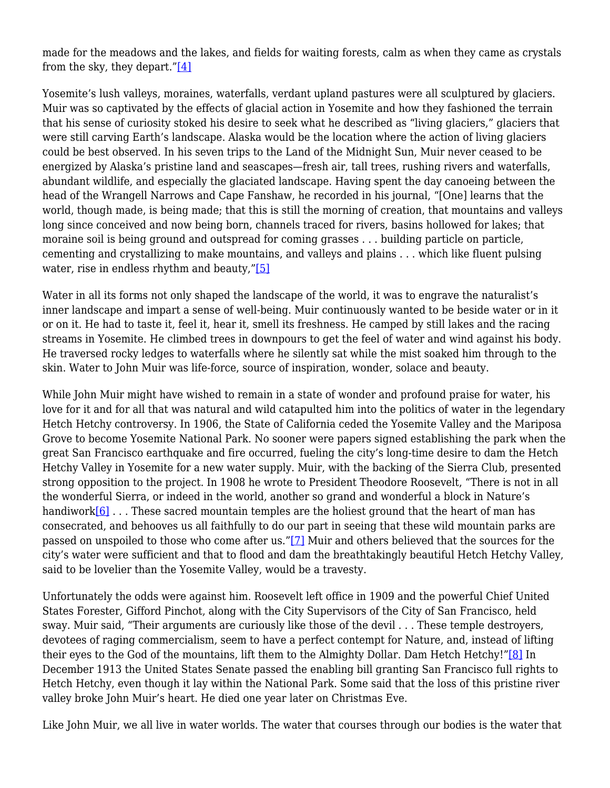made for the meadows and the lakes, and fields for waiting forests, calm as when they came as crystals from the sky, they depart." $[4]$ 

Yosemite's lush valleys, moraines, waterfalls, verdant upland pastures were all sculptured by glaciers. Muir was so captivated by the effects of glacial action in Yosemite and how they fashioned the terrain that his sense of curiosity stoked his desire to seek what he described as "living glaciers," glaciers that were still carving Earth's landscape. Alaska would be the location where the action of living glaciers could be best observed. In his seven trips to the Land of the Midnight Sun, Muir never ceased to be energized by Alaska's pristine land and seascapes—fresh air, tall trees, rushing rivers and waterfalls, abundant wildlife, and especially the glaciated landscape. Having spent the day canoeing between the head of the Wrangell Narrows and Cape Fanshaw, he recorded in his journal, "[One] learns that the world, though made, is being made; that this is still the morning of creation, that mountains and valleys long since conceived and now being born, channels traced for rivers, basins hollowed for lakes; that moraine soil is being ground and outspread for coming grasses . . . building particle on particle, cementing and crystallizing to make mountains, and valleys and plains . . . which like fluent pulsing water, rise in endless rhythm and beauty,"[5]

Water in all its forms not only shaped the landscape of the world, it was to engrave the naturalist's inner landscape and impart a sense of well-being. Muir continuously wanted to be beside water or in it or on it. He had to taste it, feel it, hear it, smell its freshness. He camped by still lakes and the racing streams in Yosemite. He climbed trees in downpours to get the feel of water and wind against his body. He traversed rocky ledges to waterfalls where he silently sat while the mist soaked him through to the skin. Water to John Muir was life-force, source of inspiration, wonder, solace and beauty.

While John Muir might have wished to remain in a state of wonder and profound praise for water, his love for it and for all that was natural and wild catapulted him into the politics of water in the legendary Hetch Hetchy controversy. In 1906, the State of California ceded the Yosemite Valley and the Mariposa Grove to become Yosemite National Park. No sooner were papers signed establishing the park when the great San Francisco earthquake and fire occurred, fueling the city's long-time desire to dam the Hetch Hetchy Valley in Yosemite for a new water supply. Muir, with the backing of the Sierra Club, presented strong opposition to the project. In 1908 he wrote to President Theodore Roosevelt, "There is not in all the wonderful Sierra, or indeed in the world, another so grand and wonderful a block in Nature's handiwork[6]... These sacred mountain temples are the holiest ground that the heart of man has consecrated, and behooves us all faithfully to do our part in seeing that these wild mountain parks are passed on unspoiled to those who come after us."[7] Muir and others believed that the sources for the city's water were sufficient and that to flood and dam the breathtakingly beautiful Hetch Hetchy Valley, said to be lovelier than the Yosemite Valley, would be a travesty.

Unfortunately the odds were against him. Roosevelt left office in 1909 and the powerful Chief United States Forester, Gifford Pinchot, along with the City Supervisors of the City of San Francisco, held sway. Muir said, "Their arguments are curiously like those of the devil . . . These temple destroyers, devotees of raging commercialism, seem to have a perfect contempt for Nature, and, instead of lifting their eyes to the God of the mountains, lift them to the Almighty Dollar. Dam Hetch Hetchy!"[8] In December 1913 the United States Senate passed the enabling bill granting San Francisco full rights to Hetch Hetchy, even though it lay within the National Park. Some said that the loss of this pristine river valley broke John Muir's heart. He died one year later on Christmas Eve.

Like John Muir, we all live in water worlds. The water that courses through our bodies is the water that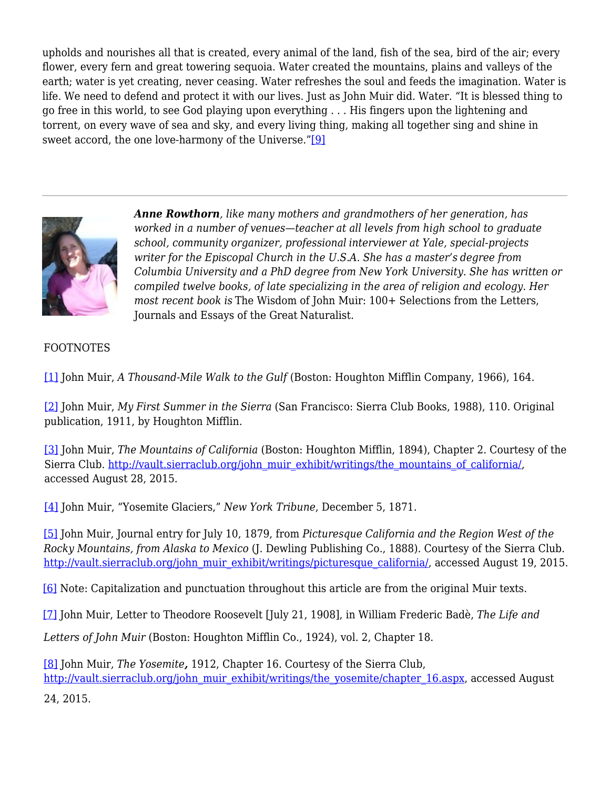upholds and nourishes all that is created, every animal of the land, fish of the sea, bird of the air; every flower, every fern and great towering sequoia. Water created the mountains, plains and valleys of the earth; water is yet creating, never ceasing. Water refreshes the soul and feeds the imagination. Water is life. We need to defend and protect it with our lives. Just as John Muir did. Water. "It is blessed thing to go free in this world, to see God playing upon everything . . . His fingers upon the lightening and torrent, on every wave of sea and sky, and every living thing, making all together sing and shine in sweet accord, the one love-harmony of the Universe."[9]



*Anne Rowthorn, like many mothers and grandmothers of her generation, has worked in a number of venues—teacher at all levels from high school to graduate school, community organizer, professional interviewer at Yale, special-projects writer for the Episcopal Church in the U.S.A. She has a master's degree from Columbia University and a PhD degree from New York University. She has written or compiled twelve books, of late specializing in the area of religion and ecology. Her most recent book is* The Wisdom of John Muir: 100+ Selections from the Letters, Journals and Essays of the Great Naturalist.

## FOOTNOTES

[1] John Muir, *A Thousand-Mile Walk to the Gulf* (Boston: Houghton Mifflin Company, 1966), 164.

[2] John Muir, *My First Summer in the Sierra* (San Francisco: Sierra Club Books, 1988), 110. Original publication, 1911, by Houghton Mifflin.

[3] John Muir, *The Mountains of California* (Boston: Houghton Mifflin, 1894), Chapter 2. Courtesy of the Sierra Club. http://vault.sierraclub.org/john\_muir\_exhibit/writings/the\_mountains\_of\_california/, accessed August 28, 2015.

[4] John Muir, "Yosemite Glaciers," *New York Tribune*, December 5, 1871.

[5] John Muir, Journal entry for July 10, 1879, from *Picturesque California and the Region West of the Rocky Mountains, from Alaska to Mexico* (J. Dewling Publishing Co., 1888). Courtesy of the Sierra Club. http://vault.sierraclub.org/john\_muir\_exhibit/writings/picturesque\_california/, accessed August 19, 2015.

[6] Note: Capitalization and punctuation throughout this article are from the original Muir texts.

[7] John Muir, Letter to Theodore Roosevelt [July 21, 1908], in William Frederic Badè, *The Life and*

*Letters of John Muir* (Boston: Houghton Mifflin Co., 1924), vol. 2, Chapter 18.

[8] John Muir, *The Yosemite,* 1912, Chapter 16. Courtesy of the Sierra Club, http://vault.sierraclub.org/john\_muir\_exhibit/writings/the\_yosemite/chapter\_16.aspx, accessed August

24, 2015.